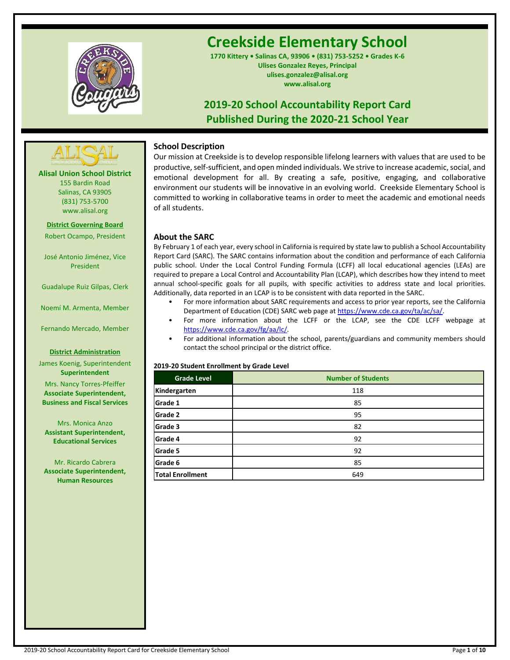

# **Creekside Elementary School**

**1770 Kittery • Salinas CA, 93906 • (831) 753-5252 • Grades K-6 Ulises Gonzalez Reyes, Principal ulises.gonzalez@alisal.org www.alisal.org**

# **2019-20 School Accountability Report Card Published During the 2020-21 School Year**



**Alisal Union School District** 155 Bardin Road Salinas, CA 93905 (831) 753-5700 www.alisal.org

**District Governing Board** Robert Ocampo, President

José Antonio Jiménez, Vice President

Guadalupe Ruiz Gilpas, Clerk

Noemí M. Armenta, Member

Fernando Mercado, Member

#### **District Administration**

James Koenig, Superintendent **Superintendent**

Mrs. Nancy Torres-Pfeiffer **Associate Superintendent, Business and Fiscal Services**

Mrs. Monica Anzo **Assistant Superintendent, Educational Services**

Mr. Ricardo Cabrera **Associate Superintendent, Human Resources**

# **School Description**

Our mission at Creekside is to develop responsible lifelong learners with values that are used to be productive, self-sufficient, and open minded individuals. We strive to increase academic, social, and emotional development for all. By creating a safe, positive, engaging, and collaborative environment our students will be innovative in an evolving world. Creekside Elementary School is committed to working in collaborative teams in order to meet the academic and emotional needs of all students.

# **About the SARC**

By February 1 of each year, every school in California is required by state law to publish a School Accountability Report Card (SARC). The SARC contains information about the condition and performance of each California public school. Under the Local Control Funding Formula (LCFF) all local educational agencies (LEAs) are required to prepare a Local Control and Accountability Plan (LCAP), which describes how they intend to meet annual school-specific goals for all pupils, with specific activities to address state and local priorities. Additionally, data reported in an LCAP is to be consistent with data reported in the SARC.

- For more information about SARC requirements and access to prior year reports, see the California Department of Education (CDE) SARC web page a[t https://www.cde.ca.gov/ta/ac/sa/.](https://www.cde.ca.gov/ta/ac/sa/)
- For more information about the LCFF or the LCAP, see the CDE LCFF webpage at [https://www.cde.ca.gov/fg/aa/lc/.](https://www.cde.ca.gov/fg/aa/lc/)
- For additional information about the school, parents/guardians and community members should contact the school principal or the district office.

#### **2019-20 Student Enrollment by Grade Level**

| <b>Grade Level</b>      | <b>Number of Students</b> |
|-------------------------|---------------------------|
| Kindergarten            | 118                       |
| Grade 1                 | 85                        |
| Grade 2                 | 95                        |
| Grade 3                 | 82                        |
| Grade 4                 | 92                        |
| Grade 5                 | 92                        |
| Grade 6                 | 85                        |
| <b>Total Enrollment</b> | 649                       |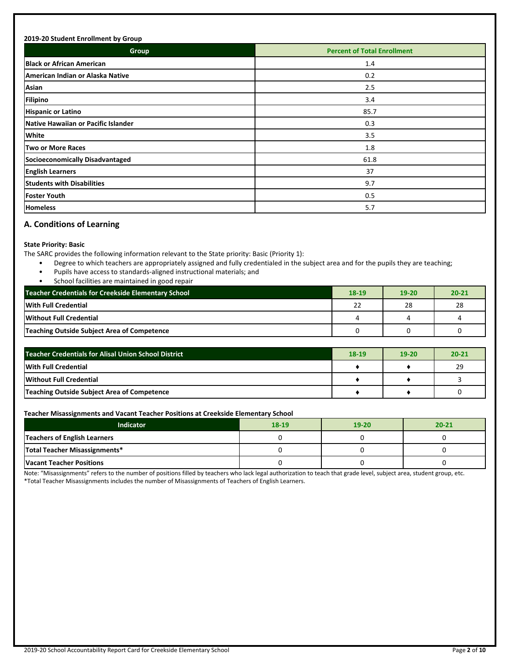# **2019-20 Student Enrollment by Group Group Percent of Total Enrollment Black or African American** 1.4 **American Indian or Alaska Native** 0.2 **Asian** 2.5 **Filipino** 3.4 **Hispanic or Latino** 85.7 **Native Hawaiian or Pacific Islander** 0.3 **White** 3.5 **Two or More Races** 1.8 **Socioeconomically Disadvantaged** 61.8 **English Learners** 37 **Students with Disabilities** 9.7 **Foster Youth** 0.5 **Homeless** 5.7

# **A. Conditions of Learning**

# **State Priority: Basic**

The SARC provides the following information relevant to the State priority: Basic (Priority 1):

- Degree to which teachers are appropriately assigned and fully credentialed in the subject area and for the pupils they are teaching;
- Pupils have access to standards-aligned instructional materials; and
- School facilities are maintained in good repair

| <b>Teacher Credentials for Creekside Elementary School</b> |    | 19-20 | $20 - 21$ |
|------------------------------------------------------------|----|-------|-----------|
| <b>With Full Credential</b>                                | 22 | 28    | 28        |
| Without Full Credential                                    |    |       |           |
| Teaching Outside Subject Area of Competence                |    |       |           |

| Teacher Credentials for Alisal Union School District |  | 19-20 | $20 - 21$ |
|------------------------------------------------------|--|-------|-----------|
| With Full Credential                                 |  |       | 29        |
| Without Full Credential                              |  |       |           |
| Teaching Outside Subject Area of Competence          |  |       |           |

# **Teacher Misassignments and Vacant Teacher Positions at Creekside Elementary School**

| Indicator                           | $18-19$ | $19 - 20$ | $20 - 21$ |
|-------------------------------------|---------|-----------|-----------|
| <b>Teachers of English Learners</b> |         |           |           |
| Total Teacher Misassignments*       |         |           |           |
| <b>Vacant Teacher Positions</b>     |         |           |           |

Note: "Misassignments" refers to the number of positions filled by teachers who lack legal authorization to teach that grade level, subject area, student group, etc. \*Total Teacher Misassignments includes the number of Misassignments of Teachers of English Learners.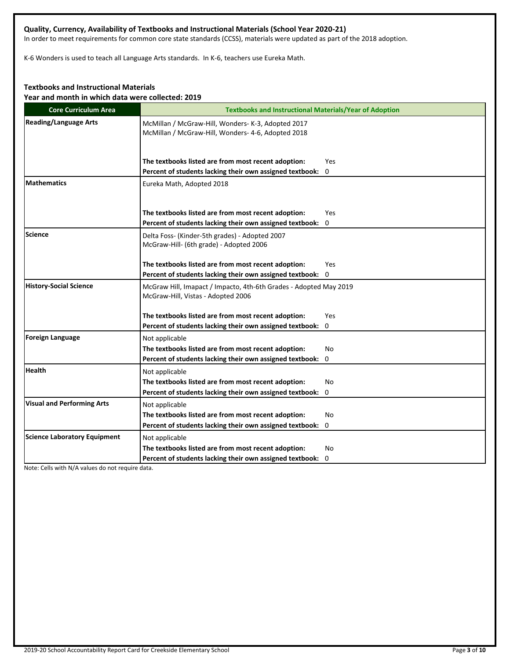# **Quality, Currency, Availability of Textbooks and Instructional Materials (School Year 2020-21)**

In order to meet requirements for common core state standards (CCSS), materials were updated as part of the 2018 adoption.

K-6 Wonders is used to teach all Language Arts standards. In K-6, teachers use Eureka Math.

# **Textbooks and Instructional Materials**

**Year and month in which data were collected: 2019**

| <b>Core Curriculum Area</b>         | <b>Textbooks and Instructional Materials/Year of Adoption</b>                                            |
|-------------------------------------|----------------------------------------------------------------------------------------------------------|
| <b>Reading/Language Arts</b>        | McMillan / McGraw-Hill, Wonders- K-3, Adopted 2017<br>McMillan / McGraw-Hill, Wonders- 4-6, Adopted 2018 |
|                                     | The textbooks listed are from most recent adoption:<br>Yes                                               |
|                                     | Percent of students lacking their own assigned textbook: 0                                               |
| <b>Mathematics</b>                  | Eureka Math, Adopted 2018                                                                                |
|                                     | The textbooks listed are from most recent adoption:<br>Yes                                               |
|                                     | Percent of students lacking their own assigned textbook:<br>0                                            |
| Science                             | Delta Foss- (Kinder-5th grades) - Adopted 2007<br>McGraw-Hill- (6th grade) - Adopted 2006                |
|                                     | The textbooks listed are from most recent adoption:<br>Yes                                               |
|                                     | Percent of students lacking their own assigned textbook: 0                                               |
| <b>History-Social Science</b>       | McGraw Hill, Imapact / Impacto, 4th-6th Grades - Adopted May 2019<br>McGraw-Hill, Vistas - Adopted 2006  |
|                                     | The textbooks listed are from most recent adoption:<br>Yes                                               |
|                                     | Percent of students lacking their own assigned textbook: 0                                               |
| Foreign Language                    | Not applicable                                                                                           |
|                                     | The textbooks listed are from most recent adoption:<br>No                                                |
|                                     | Percent of students lacking their own assigned textbook:<br>0                                            |
| <b>Health</b>                       | Not applicable                                                                                           |
|                                     | The textbooks listed are from most recent adoption:<br>No                                                |
|                                     | Percent of students lacking their own assigned textbook: 0                                               |
| <b>Visual and Performing Arts</b>   | Not applicable                                                                                           |
|                                     | The textbooks listed are from most recent adoption:<br>No                                                |
|                                     | Percent of students lacking their own assigned textbook: 0                                               |
| <b>Science Laboratory Equipment</b> | Not applicable                                                                                           |
|                                     | The textbooks listed are from most recent adoption:<br>No                                                |
|                                     | Percent of students lacking their own assigned textbook: 0                                               |

Note: Cells with N/A values do not require data.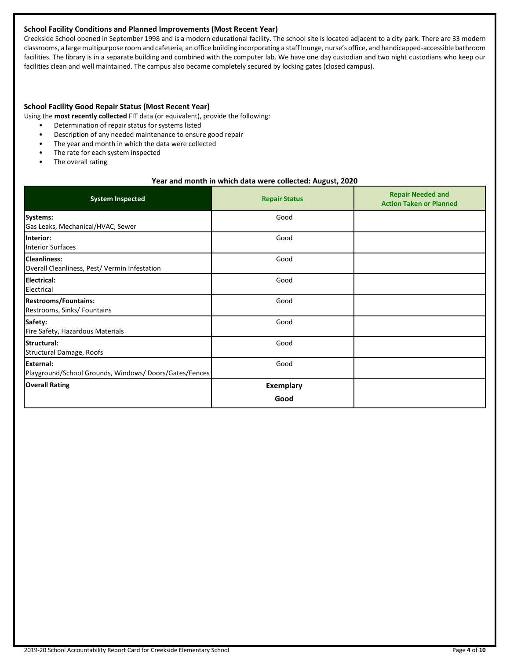# **School Facility Conditions and Planned Improvements (Most Recent Year)**

Creekside School opened in September 1998 and is a modern educational facility. The school site is located adjacent to a city park. There are 33 modern classrooms, a large multipurpose room and cafeteria, an office building incorporating a staff lounge, nurse's office, and handicapped-accessible bathroom facilities. The library is in a separate building and combined with the computer lab. We have one day custodian and two night custodians who keep our facilities clean and well maintained. The campus also became completely secured by locking gates (closed campus).

#### **School Facility Good Repair Status (Most Recent Year)**

Using the **most recently collected** FIT data (or equivalent), provide the following:

- Determination of repair status for systems listed
- Description of any needed maintenance to ensure good repair
- The year and month in which the data were collected
- The rate for each system inspected
- The overall rating

#### **Year and month in which data were collected: August, 2020**

| <b>System Inspected</b>                                                   | <b>Repair Status</b> | <b>Repair Needed and</b><br><b>Action Taken or Planned</b> |
|---------------------------------------------------------------------------|----------------------|------------------------------------------------------------|
| Systems:<br>Gas Leaks, Mechanical/HVAC, Sewer                             | Good                 |                                                            |
| Interior:<br><b>Interior Surfaces</b>                                     | Good                 |                                                            |
| <b>Cleanliness:</b><br>Overall Cleanliness, Pest/ Vermin Infestation      | Good                 |                                                            |
| <b>Electrical:</b><br>Electrical                                          | Good                 |                                                            |
| <b>Restrooms/Fountains:</b><br>Restrooms, Sinks/ Fountains                | Good                 |                                                            |
| Safety:<br>Fire Safety, Hazardous Materials                               | Good                 |                                                            |
| Structural:<br>Structural Damage, Roofs                                   | Good                 |                                                            |
| <b>External:</b><br>Playground/School Grounds, Windows/Doors/Gates/Fences | Good                 |                                                            |
| <b>Overall Rating</b>                                                     | <b>Exemplary</b>     |                                                            |
|                                                                           | Good                 |                                                            |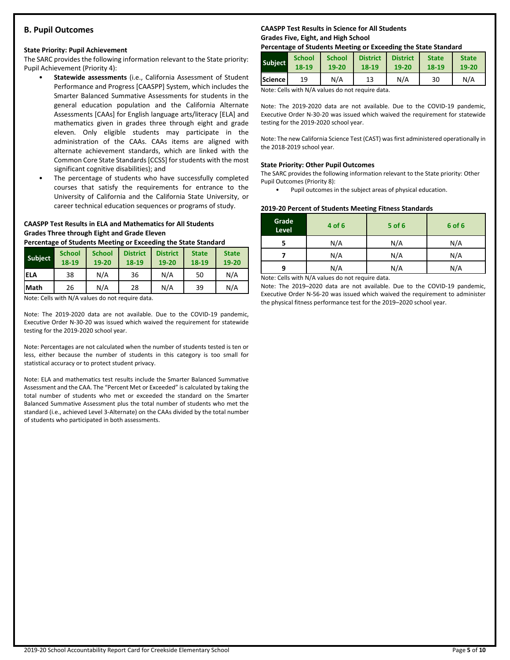# **B. Pupil Outcomes**

# **State Priority: Pupil Achievement**

The SARC provides the following information relevant to the State priority: Pupil Achievement (Priority 4):

- **Statewide assessments** (i.e., California Assessment of Student Performance and Progress [CAASPP] System, which includes the Smarter Balanced Summative Assessments for students in the general education population and the California Alternate Assessments [CAAs] for English language arts/literacy [ELA] and mathematics given in grades three through eight and grade eleven. Only eligible students may participate in the administration of the CAAs. CAAs items are aligned with alternate achievement standards, which are linked with the Common Core State Standards [CCSS] for students with the most significant cognitive disabilities); and
- The percentage of students who have successfully completed courses that satisfy the requirements for entrance to the University of California and the California State University, or career technical education sequences or programs of study.

# **CAASPP Test Results in ELA and Mathematics for All Students Grades Three through Eight and Grade Eleven**

**Percentage of Students Meeting or Exceeding the State Standard**

| <b>Subject</b> | <b>School</b><br>18-19 | <b>School</b><br>19-20 | <b>District</b><br>18-19 | <b>District</b><br>19-20 | <b>State</b><br>18-19 | <b>State</b><br>19-20 |
|----------------|------------------------|------------------------|--------------------------|--------------------------|-----------------------|-----------------------|
| ELA            | 38                     | N/A                    | 36                       | N/A                      | 50                    | N/A                   |
| <b>Math</b>    | 26                     | N/A                    | 28                       | N/A                      | 39                    | N/A                   |

Note: Cells with N/A values do not require data.

Note: The 2019-2020 data are not available. Due to the COVID-19 pandemic, Executive Order N-30-20 was issued which waived the requirement for statewide testing for the 2019-2020 school year.

Note: Percentages are not calculated when the number of students tested is ten or less, either because the number of students in this category is too small for statistical accuracy or to protect student privacy.

Note: ELA and mathematics test results include the Smarter Balanced Summative Assessment and the CAA. The "Percent Met or Exceeded" is calculated by taking the total number of students who met or exceeded the standard on the Smarter Balanced Summative Assessment plus the total number of students who met the standard (i.e., achieved Level 3-Alternate) on the CAAs divided by the total number of students who participated in both assessments.

# **CAASPP Test Results in Science for All Students Grades Five, Eight, and High School**

# **Percentage of Students Meeting or Exceeding the State Standard**

| <b>Subject</b> | <b>School</b> | <b>School</b> | <b>District</b> | <b>District</b> | <b>State</b> | <b>State</b> |
|----------------|---------------|---------------|-----------------|-----------------|--------------|--------------|
|                | 18-19         | 19-20         | 18-19           | 19-20           | 18-19        | $19 - 20$    |
| Science        | 19            | N/A           | 13              | N/A             | 30           | N/A          |

Note: Cells with N/A values do not require data.

Note: The 2019-2020 data are not available. Due to the COVID-19 pandemic, Executive Order N-30-20 was issued which waived the requirement for statewide testing for the 2019-2020 school year.

Note: The new California Science Test (CAST) was first administered operationally in the 2018-2019 school year.

# **State Priority: Other Pupil Outcomes**

The SARC provides the following information relevant to the State priority: Other Pupil Outcomes (Priority 8):

Pupil outcomes in the subject areas of physical education.

# **2019-20 Percent of Students Meeting Fitness Standards**

| Grade<br>Level | 4 of 6                                          | $5$ of $6$ | 6 of 6 |
|----------------|-------------------------------------------------|------------|--------|
|                | N/A                                             | N/A        | N/A    |
|                | N/A                                             | N/A        | N/A    |
| q              | N/A                                             | N/A        | N/A    |
|                | Nota: Colle with N/A volves do not require data |            |        |

Note: Cells with N/A values do not require data.

Note: The 2019–2020 data are not available. Due to the COVID-19 pandemic, Executive Order N-56-20 was issued which waived the requirement to administer the physical fitness performance test for the 2019–2020 school year.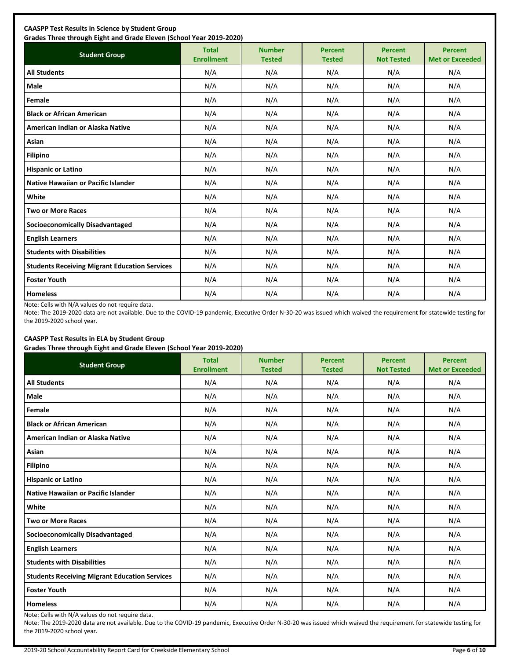| <b>Student Group</b>                                 | <b>Total</b><br><b>Enrollment</b> | <b>Number</b><br><b>Tested</b> | <b>Percent</b><br><b>Tested</b> | <b>Percent</b><br><b>Not Tested</b> | <b>Percent</b><br><b>Met or Exceeded</b> |
|------------------------------------------------------|-----------------------------------|--------------------------------|---------------------------------|-------------------------------------|------------------------------------------|
| <b>All Students</b>                                  | N/A                               | N/A                            | N/A                             | N/A                                 | N/A                                      |
| <b>Male</b>                                          | N/A                               | N/A                            | N/A                             | N/A                                 | N/A                                      |
| Female                                               | N/A                               | N/A                            | N/A                             | N/A                                 | N/A                                      |
| <b>Black or African American</b>                     | N/A                               | N/A                            | N/A                             | N/A                                 | N/A                                      |
| American Indian or Alaska Native                     | N/A                               | N/A                            | N/A                             | N/A                                 | N/A                                      |
| Asian                                                | N/A                               | N/A                            | N/A                             | N/A                                 | N/A                                      |
| <b>Filipino</b>                                      | N/A                               | N/A                            | N/A                             | N/A                                 | N/A                                      |
| <b>Hispanic or Latino</b>                            | N/A                               | N/A                            | N/A                             | N/A                                 | N/A                                      |
| Native Hawaiian or Pacific Islander                  | N/A                               | N/A                            | N/A                             | N/A                                 | N/A                                      |
| White                                                | N/A                               | N/A                            | N/A                             | N/A                                 | N/A                                      |
| <b>Two or More Races</b>                             | N/A                               | N/A                            | N/A                             | N/A                                 | N/A                                      |
| <b>Socioeconomically Disadvantaged</b>               | N/A                               | N/A                            | N/A                             | N/A                                 | N/A                                      |
| <b>English Learners</b>                              | N/A                               | N/A                            | N/A                             | N/A                                 | N/A                                      |
| <b>Students with Disabilities</b>                    | N/A                               | N/A                            | N/A                             | N/A                                 | N/A                                      |
| <b>Students Receiving Migrant Education Services</b> | N/A                               | N/A                            | N/A                             | N/A                                 | N/A                                      |
| <b>Foster Youth</b>                                  | N/A                               | N/A                            | N/A                             | N/A                                 | N/A                                      |
| <b>Homeless</b>                                      | N/A                               | N/A                            | N/A                             | N/A                                 | N/A                                      |

Note: Cells with N/A values do not require data.

Note: The 2019-2020 data are not available. Due to the COVID-19 pandemic, Executive Order N-30-20 was issued which waived the requirement for statewide testing for the 2019-2020 school year.

# **CAASPP Test Results in ELA by Student Group**

**Grades Three through Eight and Grade Eleven (School Year 2019-2020)**

| <b>Student Group</b>                                 | .,<br><b>Total</b><br><b>Enrollment</b> | <b>Number</b><br><b>Tested</b> | <b>Percent</b><br><b>Tested</b> | <b>Percent</b><br><b>Not Tested</b> | <b>Percent</b><br><b>Met or Exceeded</b> |
|------------------------------------------------------|-----------------------------------------|--------------------------------|---------------------------------|-------------------------------------|------------------------------------------|
| <b>All Students</b>                                  | N/A                                     | N/A                            | N/A                             | N/A                                 | N/A                                      |
| Male                                                 | N/A                                     | N/A                            | N/A                             | N/A                                 | N/A                                      |
| Female                                               | N/A                                     | N/A                            | N/A                             | N/A                                 | N/A                                      |
| <b>Black or African American</b>                     | N/A                                     | N/A                            | N/A                             | N/A                                 | N/A                                      |
| American Indian or Alaska Native                     | N/A                                     | N/A                            | N/A                             | N/A                                 | N/A                                      |
| Asian                                                | N/A                                     | N/A                            | N/A                             | N/A                                 | N/A                                      |
| <b>Filipino</b>                                      | N/A                                     | N/A                            | N/A                             | N/A                                 | N/A                                      |
| <b>Hispanic or Latino</b>                            | N/A                                     | N/A                            | N/A                             | N/A                                 | N/A                                      |
| Native Hawaiian or Pacific Islander                  | N/A                                     | N/A                            | N/A                             | N/A                                 | N/A                                      |
| White                                                | N/A                                     | N/A                            | N/A                             | N/A                                 | N/A                                      |
| <b>Two or More Races</b>                             | N/A                                     | N/A                            | N/A                             | N/A                                 | N/A                                      |
| <b>Socioeconomically Disadvantaged</b>               | N/A                                     | N/A                            | N/A                             | N/A                                 | N/A                                      |
| <b>English Learners</b>                              | N/A                                     | N/A                            | N/A                             | N/A                                 | N/A                                      |
| <b>Students with Disabilities</b>                    | N/A                                     | N/A                            | N/A                             | N/A                                 | N/A                                      |
| <b>Students Receiving Migrant Education Services</b> | N/A                                     | N/A                            | N/A                             | N/A                                 | N/A                                      |
| <b>Foster Youth</b>                                  | N/A                                     | N/A                            | N/A                             | N/A                                 | N/A                                      |
| <b>Homeless</b>                                      | N/A                                     | N/A                            | N/A                             | N/A                                 | N/A                                      |

Note: Cells with N/A values do not require data.

Note: The 2019-2020 data are not available. Due to the COVID-19 pandemic, Executive Order N-30-20 was issued which waived the requirement for statewide testing for the 2019-2020 school year.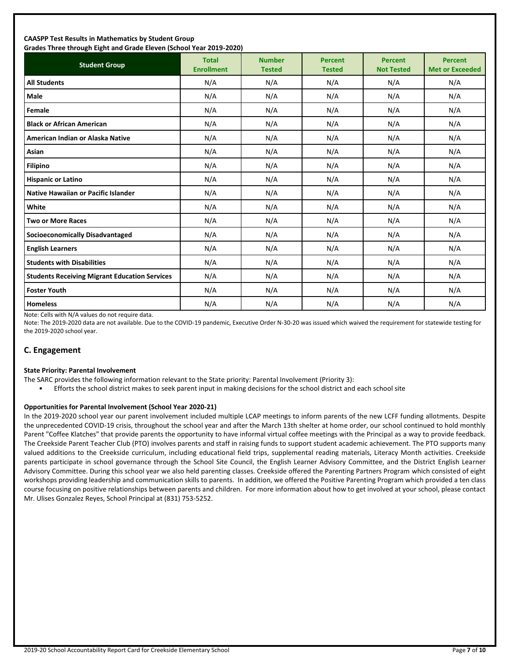#### **CAASPP Test Results in Mathematics by Student Group Grades Three through Eight and Grade Eleven (School Year 2019-2020)**

| andes mice unbagn agut ana anade actem penoor rear 2015 2020;<br><b>Student Group</b> | <b>Total</b><br><b>Enrollment</b> | <b>Number</b><br><b>Tested</b> | <b>Percent</b><br><b>Tested</b> | <b>Percent</b><br><b>Not Tested</b> | <b>Percent</b><br><b>Met or Exceeded</b> |
|---------------------------------------------------------------------------------------|-----------------------------------|--------------------------------|---------------------------------|-------------------------------------|------------------------------------------|
| <b>All Students</b>                                                                   | N/A                               | N/A                            | N/A                             | N/A                                 | N/A                                      |
| <b>Male</b>                                                                           | N/A                               | N/A                            | N/A                             | N/A                                 | N/A                                      |
| Female                                                                                | N/A                               | N/A                            | N/A                             | N/A                                 | N/A                                      |
| <b>Black or African American</b>                                                      | N/A                               | N/A                            | N/A                             | N/A                                 | N/A                                      |
| American Indian or Alaska Native                                                      | N/A                               | N/A                            | N/A                             | N/A                                 | N/A                                      |
| Asian                                                                                 | N/A                               | N/A                            | N/A                             | N/A                                 | N/A                                      |
| <b>Filipino</b>                                                                       | N/A                               | N/A                            | N/A                             | N/A                                 | N/A                                      |
| <b>Hispanic or Latino</b>                                                             | N/A                               | N/A                            | N/A                             | N/A                                 | N/A                                      |
| <b>Native Hawaiian or Pacific Islander</b>                                            | N/A                               | N/A                            | N/A                             | N/A                                 | N/A                                      |
| White                                                                                 | N/A                               | N/A                            | N/A                             | N/A                                 | N/A                                      |
| <b>Two or More Races</b>                                                              | N/A                               | N/A                            | N/A                             | N/A                                 | N/A                                      |
| <b>Socioeconomically Disadvantaged</b>                                                | N/A                               | N/A                            | N/A                             | N/A                                 | N/A                                      |
| <b>English Learners</b>                                                               | N/A                               | N/A                            | N/A                             | N/A                                 | N/A                                      |
| <b>Students with Disabilities</b>                                                     | N/A                               | N/A                            | N/A                             | N/A                                 | N/A                                      |
| <b>Students Receiving Migrant Education Services</b>                                  | N/A                               | N/A                            | N/A                             | N/A                                 | N/A                                      |
| <b>Foster Youth</b>                                                                   | N/A                               | N/A                            | N/A                             | N/A                                 | N/A                                      |
| <b>Homeless</b>                                                                       | N/A                               | N/A                            | N/A                             | N/A                                 | N/A                                      |

Note: Cells with N/A values do not require data.

Note: The 2019-2020 data are not available. Due to the COVID-19 pandemic, Executive Order N-30-20 was issued which waived the requirement for statewide testing for the 2019-2020 school year.

# **C. Engagement**

#### **State Priority: Parental Involvement**

- The SARC provides the following information relevant to the State priority: Parental Involvement (Priority 3):
	- Efforts the school district makes to seek parent input in making decisions for the school district and each school site

#### **Opportunities for Parental Involvement (School Year 2020-21)**

In the 2019-2020 school year our parent involvement included multiple LCAP meetings to inform parents of the new LCFF funding allotments. Despite the unprecedented COVID-19 crisis, throughout the school year and after the March 13th shelter at home order, our school continued to hold monthly Parent "Coffee Klatches" that provide parents the opportunity to have informal virtual coffee meetings with the Principal as a way to provide feedback. The Creekside Parent Teacher Club (PTO) involves parents and staff in raising funds to support student academic achievement. The PTO supports many valued additions to the Creekside curriculum, including educational field trips, supplemental reading materials, Literacy Month activities. Creekside parents participate in school governance through the School Site Council, the English Learner Advisory Committee, and the District English Learner Advisory Committee. During this school year we also held parenting classes. Creekside offered the Parenting Partners Program which consisted of eight workshops providing leadership and communication skills to parents. In addition, we offered the Positive Parenting Program which provided a ten class course focusing on positive relationships between parents and children. For more information about how to get involved at your school, please contact Mr. Ulises Gonzalez Reyes, School Principal at (831) 753-5252.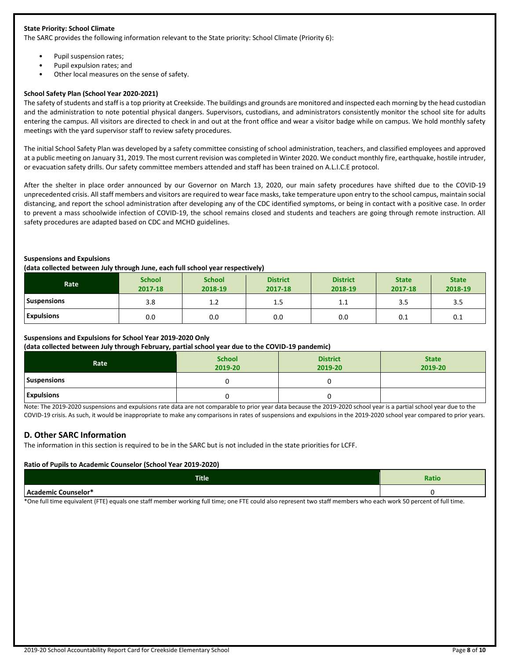#### **State Priority: School Climate**

The SARC provides the following information relevant to the State priority: School Climate (Priority 6):

- Pupil suspension rates;
- Pupil expulsion rates; and
- Other local measures on the sense of safety.

#### **School Safety Plan (School Year 2020-2021)**

The safety of students and staff is a top priority at Creekside. The buildings and grounds are monitored and inspected each morning by the head custodian and the administration to note potential physical dangers. Supervisors, custodians, and administrators consistently monitor the school site for adults entering the campus. All visitors are directed to check in and out at the front office and wear a visitor badge while on campus. We hold monthly safety meetings with the yard supervisor staff to review safety procedures.

The initial School Safety Plan was developed by a safety committee consisting of school administration, teachers, and classified employees and approved at a public meeting on January 31, 2019. The most current revision was completed in Winter 2020. We conduct monthly fire, earthquake, hostile intruder, or evacuation safety drills. Our safety committee members attended and staff has been trained on A.L.I.C.E protocol.

After the shelter in place order announced by our Governor on March 13, 2020, our main safety procedures have shifted due to the COVID-19 unprecedented crisis. All staff members and visitors are required to wear face masks, take temperature upon entry to the school campus, maintain social distancing, and report the school administration after developing any of the CDC identified symptoms, or being in contact with a positive case. In order to prevent a mass schoolwide infection of COVID-19, the school remains closed and students and teachers are going through remote instruction. All safety procedures are adapted based on CDC and MCHD guidelines.

#### **Suspensions and Expulsions**

#### **(data collected between July through June, each full school year respectively)**

| Rate               | <b>School</b><br>2017-18 | <b>School</b><br>2018-19 | <b>District</b><br>2017-18 | <b>District</b><br>2018-19 | <b>State</b><br>2017-18 | <b>State</b><br>2018-19 |
|--------------------|--------------------------|--------------------------|----------------------------|----------------------------|-------------------------|-------------------------|
| <b>Suspensions</b> | 3.8                      | 1.2                      | ر…                         | ∸.⊥                        | 3.5                     | 3.5                     |
| <b>Expulsions</b>  | 0.0                      | 0.0                      | 0.0                        | 0.0                        | 0.1                     | 0.1                     |

#### **Suspensions and Expulsions for School Year 2019-2020 Only**

#### **(data collected between July through February, partial school year due to the COVID-19 pandemic)**

| __<br>.<br>Rate    | <b>School</b><br>2019-20 | $\sim$<br><b>District</b><br>2019-20 | <b>State</b><br>2019-20 |
|--------------------|--------------------------|--------------------------------------|-------------------------|
| <b>Suspensions</b> |                          |                                      |                         |
| <b>Expulsions</b>  |                          |                                      |                         |

Note: The 2019-2020 suspensions and expulsions rate data are not comparable to prior year data because the 2019-2020 school year is a partial school year due to the COVID-19 crisis. As such, it would be inappropriate to make any comparisons in rates of suspensions and expulsions in the 2019-2020 school year compared to prior years.

# **D. Other SARC Information**

The information in this section is required to be in the SARC but is not included in the state priorities for LCFF.

#### **Ratio of Pupils to Academic Counselor (School Year 2019-2020)**

| <b>Title</b>                     | <b>Ratio</b> |
|----------------------------------|--------------|
| Acader<br>- Counselor*<br>emic ( |              |

\*One full time equivalent (FTE) equals one staff member working full time; one FTE could also represent two staff members who each work 50 percent of full time.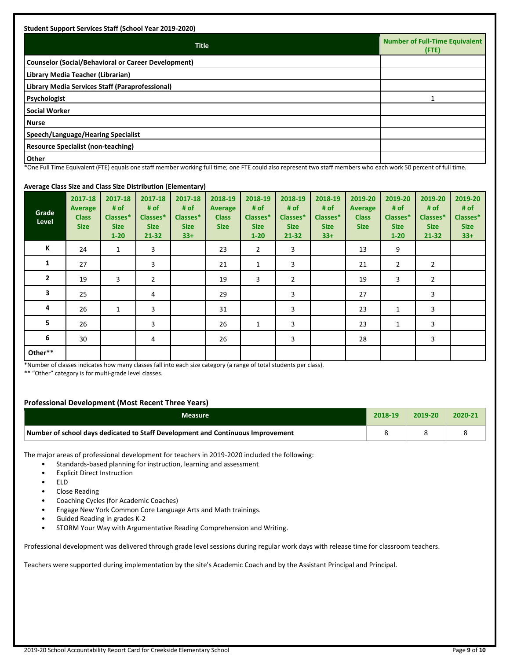| <b>Student Support Services Staff (School Year 2019-2020)</b>                                                                                                                                                                                                                              |                                                |
|--------------------------------------------------------------------------------------------------------------------------------------------------------------------------------------------------------------------------------------------------------------------------------------------|------------------------------------------------|
| <b>Title</b>                                                                                                                                                                                                                                                                               | <b>Number of Full-Time Equivalent</b><br>(FTE) |
| <b>Counselor (Social/Behavioral or Career Development)</b>                                                                                                                                                                                                                                 |                                                |
| Library Media Teacher (Librarian)                                                                                                                                                                                                                                                          |                                                |
| Library Media Services Staff (Paraprofessional)                                                                                                                                                                                                                                            |                                                |
| Psychologist                                                                                                                                                                                                                                                                               |                                                |
| <b>Social Worker</b>                                                                                                                                                                                                                                                                       |                                                |
| <b>Nurse</b>                                                                                                                                                                                                                                                                               |                                                |
| Speech/Language/Hearing Specialist                                                                                                                                                                                                                                                         |                                                |
| <b>Resource Specialist (non-teaching)</b>                                                                                                                                                                                                                                                  |                                                |
| Other<br>$\frac{1}{2}$ , $\frac{1}{2}$ , $\frac{1}{2}$ , $\frac{1}{2}$ , $\frac{1}{2}$ , $\frac{1}{2}$ , $\frac{1}{2}$ , $\frac{1}{2}$ , $\frac{1}{2}$ , $\frac{1}{2}$<br>$\sim$ $\sim$ $\sim$ $\sim$ $\sim$ $\sim$ $\sim$<br>.<br>$\sim$ $\sim$ $\sim$ $\sim$ $\sim$ $\sim$ $\sim$<br>--- | $\sim$ $\sim$ $\sim$ $\sim$<br>$\cdot$ $\sim$  |

\*One Full Time Equivalent (FTE) equals one staff member working full time; one FTE could also represent two staff members who each work 50 percent of full time.

# **Average Class Size and Class Size Distribution (Elementary)**

| $\bullet$ - - - -<br><b>Grade</b><br>Level | 2017-18<br><b>Average</b><br><b>Class</b><br><b>Size</b> | 2017-18<br># of<br>Classes*<br><b>Size</b><br>$1 - 20$ | 2017-18<br># of<br>Classes*<br><b>Size</b><br>$21 - 32$ | - - <b>11</b><br>2017-18<br># of<br>Classes*<br><b>Size</b><br>$33+$ | 2018-19<br><b>Average</b><br><b>Class</b><br><b>Size</b> | 2018-19<br># of<br>Classes*<br><b>Size</b><br>$1 - 20$ | 2018-19<br># of<br>Classes*<br><b>Size</b><br>$21 - 32$ | 2018-19<br># of<br>Classes*<br><b>Size</b><br>$33+$ | 2019-20<br><b>Average</b><br><b>Class</b><br><b>Size</b> | 2019-20<br># of<br>Classes*<br><b>Size</b><br>$1 - 20$ | 2019-20<br># of<br>Classes*<br><b>Size</b><br>$21 - 32$ | 2019-20<br># of<br>Classes*<br><b>Size</b><br>$33+$ |
|--------------------------------------------|----------------------------------------------------------|--------------------------------------------------------|---------------------------------------------------------|----------------------------------------------------------------------|----------------------------------------------------------|--------------------------------------------------------|---------------------------------------------------------|-----------------------------------------------------|----------------------------------------------------------|--------------------------------------------------------|---------------------------------------------------------|-----------------------------------------------------|
| K                                          | 24                                                       | $\mathbf{1}$                                           | 3                                                       |                                                                      | 23                                                       | $\overline{2}$                                         | 3                                                       |                                                     | 13                                                       | 9                                                      |                                                         |                                                     |
| 1                                          | 27                                                       |                                                        | 3                                                       |                                                                      | 21                                                       | $\mathbf{1}$                                           | 3                                                       |                                                     | 21                                                       | 2                                                      | $\overline{2}$                                          |                                                     |
| $\mathbf{2}$                               | 19                                                       | 3                                                      | $\overline{2}$                                          |                                                                      | 19                                                       | 3                                                      | $\overline{2}$                                          |                                                     | 19                                                       | 3                                                      | $\overline{2}$                                          |                                                     |
| 3                                          | 25                                                       |                                                        | 4                                                       |                                                                      | 29                                                       |                                                        | 3                                                       |                                                     | 27                                                       |                                                        | 3                                                       |                                                     |
| 4                                          | 26                                                       | $\mathbf{1}$                                           | 3                                                       |                                                                      | 31                                                       |                                                        | 3                                                       |                                                     | 23                                                       | 1                                                      | 3                                                       |                                                     |
| 5                                          | 26                                                       |                                                        | 3                                                       |                                                                      | 26                                                       | 1                                                      | 3                                                       |                                                     | 23                                                       | 1                                                      | 3                                                       |                                                     |
| 6                                          | 30                                                       |                                                        | 4                                                       |                                                                      | 26                                                       |                                                        | 3                                                       |                                                     | 28                                                       |                                                        | 3                                                       |                                                     |
| Other**                                    |                                                          |                                                        |                                                         |                                                                      |                                                          |                                                        |                                                         |                                                     |                                                          |                                                        |                                                         |                                                     |

\*Number of classes indicates how many classes fall into each size category (a range of total students per class).

\*\* "Other" category is for multi-grade level classes.

# **Professional Development (Most Recent Three Years)**

| Measure                                                                         | 2018-19 | 2019-20 | 2020-21 |
|---------------------------------------------------------------------------------|---------|---------|---------|
| Number of school days dedicated to Staff Development and Continuous Improvement |         |         |         |

The major areas of professional development for teachers in 2019-2020 included the following:

- Standards-based planning for instruction, learning and assessment
- **Explicit Direct Instruction**
- ELD
- Close Reading
- Coaching Cycles (for Academic Coaches)
- Engage New York Common Core Language Arts and Math trainings.
- Guided Reading in grades K-2
- STORM Your Way with Argumentative Reading Comprehension and Writing.

Professional development was delivered through grade level sessions during regular work days with release time for classroom teachers.

Teachers were supported during implementation by the site's Academic Coach and by the Assistant Principal and Principal.